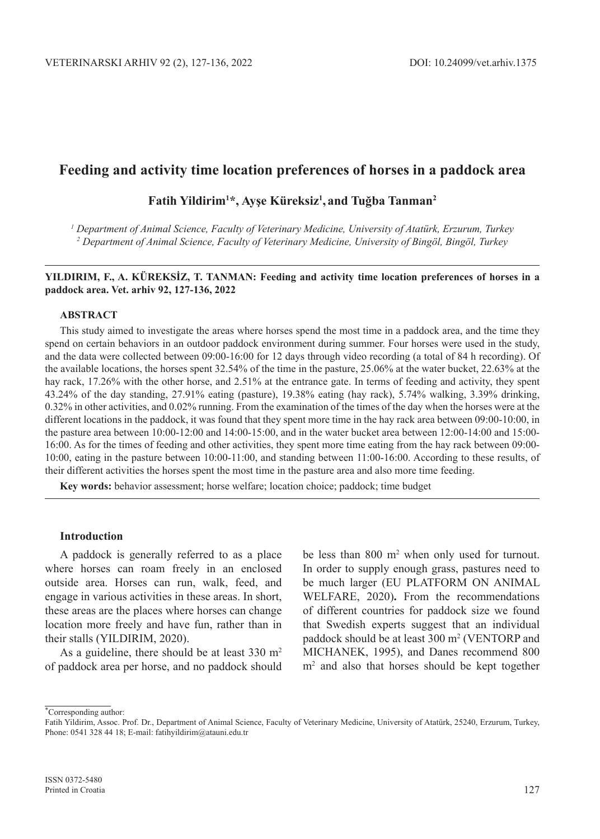# **Feeding and activity time location preferences of horses in a paddock area**

## **Fatih Yildirim1 \*, Ayşe Küreksiz<sup>1</sup> , and Tuğba Tanman<sup>2</sup>**

*1 Department of Animal Science, Faculty of Veterinary Medicine, University of Atatürk, Erzurum, Turkey 2 Department of Animal Science, Faculty of Veterinary Medicine, University of Bingöl, Bingöl, Turkey*

#### **YILDIRIM, F., A. KÜREKSİZ, T. TANMAN: Feeding and activity time location preferences of horses in a paddock area. Vet. arhiv 92, 127-136, 2022**

#### **ABSTRACT**

This study aimed to investigate the areas where horses spend the most time in a paddock area, and the time they spend on certain behaviors in an outdoor paddock environment during summer. Four horses were used in the study, and the data were collected between 09:00-16:00 for 12 days through video recording (a total of 84 h recording). Of the available locations, the horses spent 32.54% of the time in the pasture, 25.06% at the water bucket, 22.63% at the hay rack, 17.26% with the other horse, and 2.51% at the entrance gate. In terms of feeding and activity, they spent 43.24% of the day standing, 27.91% eating (pasture), 19.38% eating (hay rack), 5.74% walking, 3.39% drinking, 0.32% in other activities, and 0.02% running. From the examination of the times of the day when the horses were at the different locations in the paddock, it was found that they spent more time in the hay rack area between 09:00-10:00, in the pasture area between 10:00-12:00 and 14:00-15:00, and in the water bucket area between 12:00-14:00 and 15:00- 16:00. As for the times of feeding and other activities, they spent more time eating from the hay rack between 09:00- 10:00, eating in the pasture between 10:00-11:00, and standing between 11:00-16:00. According to these results, of their different activities the horses spent the most time in the pasture area and also more time feeding.

**Key words:** behavior assessment; horse welfare; location choice; paddock; time budget

#### **Introduction**

A paddock is generally referred to as a place where horses can roam freely in an enclosed outside area. Horses can run, walk, feed, and engage in various activities in these areas. In short, these areas are the places where horses can change location more freely and have fun, rather than in their stalls (YILDIRIM, 2020).

As a guideline, there should be at least  $330 \text{ m}^2$ of paddock area per horse, and no paddock should

be less than 800 m<sup>2</sup> when only used for turnout. In order to supply enough grass, pastures need to be much larger (EU PLATFORM ON ANIMAL WELFARE, 2020)**.** From the recommendations of different countries for paddock size we found that Swedish experts suggest that an individual paddock should be at least 300 m<sup>2</sup> (VENTORP and MICHANEK, 1995), and Danes recommend 800 m2 and also that horses should be kept together

<sup>∗</sup> Corresponding author:

Fatih Yildirim, Assoc. Prof. Dr., Department of Animal Science, Faculty of Veterinary Medicine, University of Atatürk, 25240, Erzurum, Turkey, Phone: 0541 328 44 18; E-mail: fatihyildirim@atauni.edu.tr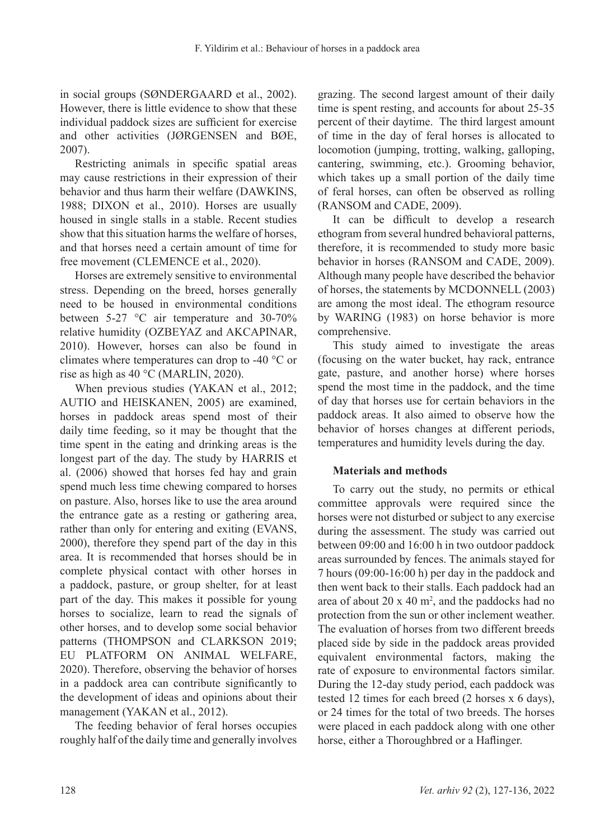in social groups (SØNDERGAARD et al., 2002). However, there is little evidence to show that these individual paddock sizes are sufficient for exercise and other activities (JØRGENSEN and BØE, 2007).

Restricting animals in specific spatial areas may cause restrictions in their expression of their behavior and thus harm their welfare (DAWKINS, 1988; DIXON et al., 2010). Horses are usually housed in single stalls in a stable. Recent studies show that this situation harms the welfare of horses, and that horses need a certain amount of time for free movement (CLEMENCE et al., 2020).

Horses are extremely sensitive to environmental stress. Depending on the breed, horses generally need to be housed in environmental conditions between 5-27 °C air temperature and 30-70% relative humidity (OZBEYAZ and AKCAPINAR, 2010). However, horses can also be found in climates where temperatures can drop to -40 °C or rise as high as 40 °C (MARLIN, 2020).

When previous studies (YAKAN et al., 2012; AUTIO and HEISKANEN, 2005) are examined, horses in paddock areas spend most of their daily time feeding, so it may be thought that the time spent in the eating and drinking areas is the longest part of the day. The study by HARRIS et al. (2006) showed that horses fed hay and grain spend much less time chewing compared to horses on pasture. Also, horses like to use the area around the entrance gate as a resting or gathering area, rather than only for entering and exiting (EVANS, 2000), therefore they spend part of the day in this area. It is recommended that horses should be in complete physical contact with other horses in a paddock, pasture, or group shelter, for at least part of the day. This makes it possible for young horses to socialize, learn to read the signals of other horses, and to develop some social behavior patterns (THOMPSON and CLARKSON 2019; EU PLATFORM ON ANIMAL WELFARE, 2020). Therefore, observing the behavior of horses in a paddock area can contribute significantly to the development of ideas and opinions about their management (YAKAN et al., 2012).

The feeding behavior of feral horses occupies roughly half of the daily time and generally involves grazing. The second largest amount of their daily time is spent resting, and accounts for about 25-35 percent of their daytime. The third largest amount of time in the day of feral horses is allocated to locomotion (jumping, trotting, walking, galloping, cantering, swimming, etc.). Grooming behavior, which takes up a small portion of the daily time of feral horses, can often be observed as rolling (RANSOM and CADE, 2009).

It can be difficult to develop a research ethogram from several hundred behavioral patterns, therefore, it is recommended to study more basic behavior in horses (RANSOM and CADE, 2009). Although many people have described the behavior of horses, the statements by MCDONNELL (2003) are among the most ideal. The ethogram resource by WARING (1983) on horse behavior is more comprehensive.

This study aimed to investigate the areas (focusing on the water bucket, hay rack, entrance gate, pasture, and another horse) where horses spend the most time in the paddock, and the time of day that horses use for certain behaviors in the paddock areas. It also aimed to observe how the behavior of horses changes at different periods, temperatures and humidity levels during the day.

## **Materials and methods**

To carry out the study, no permits or ethical committee approvals were required since the horses were not disturbed or subject to any exercise during the assessment. The study was carried out between 09:00 and 16:00 h in two outdoor paddock areas surrounded by fences. The animals stayed for 7 hours (09:00-16:00 h) per day in the paddock and then went back to their stalls. Each paddock had an area of about  $20 \times 40$  m<sup>2</sup>, and the paddocks had no protection from the sun or other inclement weather. The evaluation of horses from two different breeds placed side by side in the paddock areas provided equivalent environmental factors, making the rate of exposure to environmental factors similar. During the 12-day study period, each paddock was tested 12 times for each breed (2 horses x 6 days), or 24 times for the total of two breeds. The horses were placed in each paddock along with one other horse, either a Thoroughbred or a Haflinger.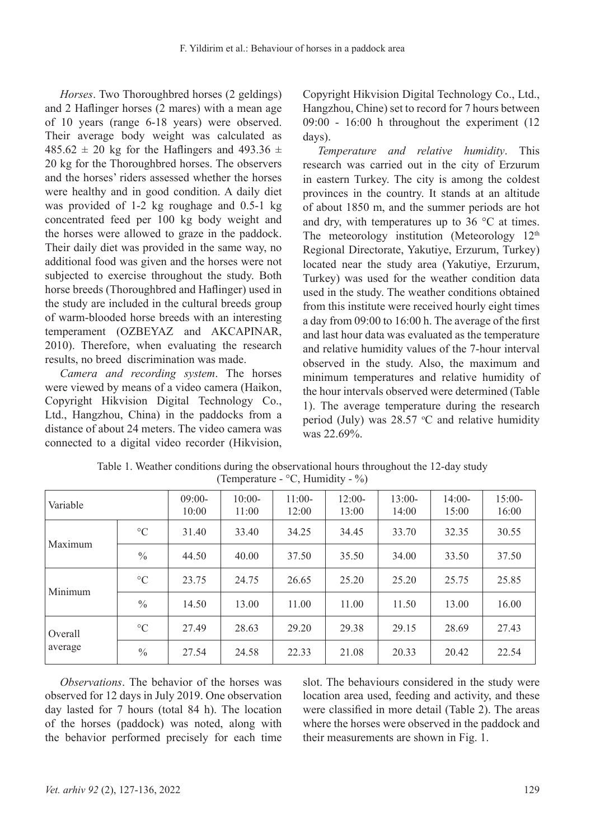*Horses*. Two Thoroughbred horses (2 geldings) and 2 Haflinger horses (2 mares) with a mean age of 10 years (range 6-18 years) were observed. Their average body weight was calculated as  $485.62 \pm 20$  kg for the Haflingers and  $493.36 \pm 10$ 20 kg for the Thoroughbred horses. The observers and the horses' riders assessed whether the horses were healthy and in good condition. A daily diet was provided of 1-2 kg roughage and 0.5-1 kg concentrated feed per 100 kg body weight and the horses were allowed to graze in the paddock. Their daily diet was provided in the same way, no additional food was given and the horses were not subjected to exercise throughout the study. Both horse breeds (Thoroughbred and Haflinger) used in the study are included in the cultural breeds group of warm-blooded horse breeds with an interesting temperament (OZBEYAZ and AKCAPINAR, 2010). Therefore, when evaluating the research results, no breed discrimination was made.

*Camera and recording system*. The horses were viewed by means of a video camera (Haikon, Copyright Hikvision Digital Technology Co., Ltd., Hangzhou, China) in the paddocks from a distance of about 24 meters. The video camera was connected to a digital video recorder (Hikvision, Copyright Hikvision Digital Technology Co., Ltd., Hangzhou, Chine) set to record for 7 hours between 09:00 - 16:00 h throughout the experiment (12 days).

*Temperature and relative humidity*. This research was carried out in the city of Erzurum in eastern Turkey. The city is among the coldest provinces in the country. It stands at an altitude of about 1850 m, and the summer periods are hot and dry, with temperatures up to 36 °C at times. The meteorology institution (Meteorology  $12<sup>th</sup>$ Regional Directorate, Yakutiye, Erzurum, Turkey) located near the study area (Yakutiye, Erzurum, Turkey) was used for the weather condition data used in the study. The weather conditions obtained from this institute were received hourly eight times a day from 09:00 to 16:00 h. The average of the first and last hour data was evaluated as the temperature and relative humidity values of the 7-hour interval observed in the study. Also, the maximum and minimum temperatures and relative humidity of the hour intervals observed were determined (Table 1). The average temperature during the research period (July) was  $28.57$  °C and relative humidity was 22.69%.

| Variable           |                 | $09:00-$<br>10:00 | $10:00-$<br>11:00 | $11:00-$<br>12:00 | $12:00-$<br>13:00 | $13:00-$<br>14:00 | $14:00-$<br>15:00 | $15:00-$<br>16:00 |
|--------------------|-----------------|-------------------|-------------------|-------------------|-------------------|-------------------|-------------------|-------------------|
| Maximum            | $\rm ^{\circ}C$ | 31.40             | 33.40             | 34.25             | 34.45             | 33.70             | 32.35             | 30.55             |
|                    | $\frac{0}{0}$   | 44.50             | 40.00             | 37.50             | 35.50             | 34.00             | 33.50             | 37.50             |
| Minimum            | $\rm ^{\circ}C$ | 23.75             | 24.75             | 26.65             | 25.20             | 25.20             | 25.75             | 25.85             |
|                    | $\frac{0}{0}$   | 14.50             | 13.00             | 11.00             | 11.00             | 11.50             | 13.00             | 16.00             |
| Overall<br>average | $\rm ^{\circ}C$ | 27.49             | 28.63             | 29.20             | 29.38             | 29.15             | 28.69             | 27.43             |
|                    | $\frac{0}{0}$   | 27.54             | 24.58             | 22.33             | 21.08             | 20.33             | 20.42             | 22.54             |

| Table 1. Weather conditions during the observational hours throughout the 12-day study |
|----------------------------------------------------------------------------------------|
| (Temperature - $\degree$ C, Humidity - $\%$ )                                          |

*Observations*. The behavior of the horses was observed for 12 days in July 2019. One observation day lasted for 7 hours (total 84 h). The location of the horses (paddock) was noted, along with the behavior performed precisely for each time slot. The behaviours considered in the study were location area used, feeding and activity, and these were classified in more detail (Table 2). The areas where the horses were observed in the paddock and their measurements are shown in Fig. 1.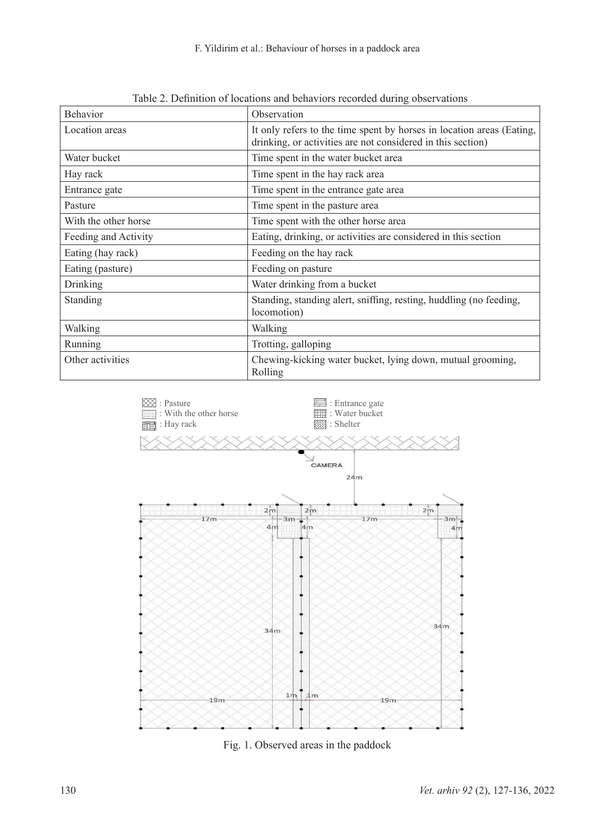F. Yildirim et al.: Behaviour of horses in a paddock area

| Behavior             | Observation                                                                                                                          |  |  |  |  |
|----------------------|--------------------------------------------------------------------------------------------------------------------------------------|--|--|--|--|
| Location areas       | It only refers to the time spent by horses in location areas (Eating,<br>drinking, or activities are not considered in this section) |  |  |  |  |
| Water bucket         | Time spent in the water bucket area                                                                                                  |  |  |  |  |
| Hay rack             | Time spent in the hay rack area                                                                                                      |  |  |  |  |
| Entrance gate        | Time spent in the entrance gate area                                                                                                 |  |  |  |  |
| Pasture              | Time spent in the pasture area                                                                                                       |  |  |  |  |
| With the other horse | Time spent with the other horse area                                                                                                 |  |  |  |  |
| Feeding and Activity | Eating, drinking, or activities are considered in this section                                                                       |  |  |  |  |
| Eating (hay rack)    | Feeding on the hay rack                                                                                                              |  |  |  |  |
| Eating (pasture)     | Feeding on pasture                                                                                                                   |  |  |  |  |
| Drinking             | Water drinking from a bucket                                                                                                         |  |  |  |  |
| Standing             | Standing, standing alert, sniffing, resting, huddling (no feeding,<br>locomotion)                                                    |  |  |  |  |
| Walking              | Walking                                                                                                                              |  |  |  |  |
| Running              | Trotting, galloping                                                                                                                  |  |  |  |  |
| Other activities     | Chewing-kicking water bucket, lying down, mutual grooming,<br>Rolling                                                                |  |  |  |  |

Table 2. Definition of locations and behaviors recorded during observations



Fig. 1. Observed areas in the paddock Fig. 1. Observed areas in the paddock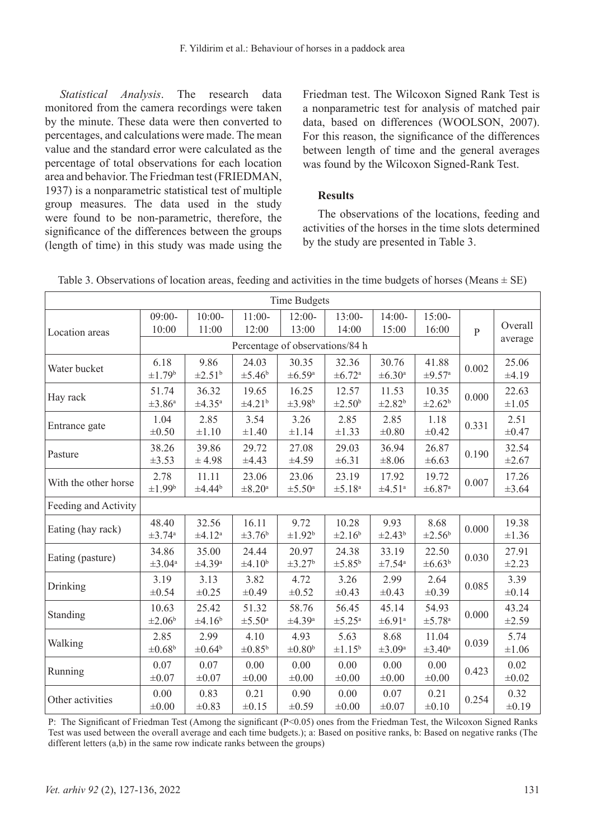*Statistical Analysis*. The research data monitored from the camera recordings were taken by the minute. These data were then converted to percentages, and calculations were made. The mean value and the standard error were calculated as the percentage of total observations for each location area and behavior. The Friedman test (FRIEDMAN, 1937) is a nonparametric statistical test of multiple group measures. The data used in the study were found to be non-parametric, therefore, the significance of the differences between the groups (length of time) in this study was made using the

Friedman test. The Wilcoxon Signed Rank Test is a nonparametric test for analysis of matched pair data, based on differences (WOOLSON, 2007). For this reason, the significance of the differences between length of time and the general averages was found by the Wilcoxon Signed-Rank Test.

## **Results**

The observations of the locations, feeding and activities of the horses in the time slots determined by the study are presented in Table 3.

| <b>Time Budgets</b>  |                                  |                                  |                                  |                                  |                                  |                                  |                                  |         |                     |
|----------------------|----------------------------------|----------------------------------|----------------------------------|----------------------------------|----------------------------------|----------------------------------|----------------------------------|---------|---------------------|
| Location areas       | $09:00-$<br>10:00                | $10:00-$<br>11:00                | $11:00-$<br>12:00                | $12:00-$<br>13:00                | $13:00-$<br>14:00                | $14:00-$<br>15:00                | $15:00-$<br>16:00                |         | Overall             |
|                      | Percentage of observations/84 h  |                                  |                                  |                                  |                                  |                                  | $\overline{P}$                   | average |                     |
| Water bucket         | 6.18<br>$\pm 1.79^b$             | 9.86<br>$\pm 2.51^{\rm b}$       | 24.03<br>$\pm 5.46^{\mathrm{b}}$ | 30.35<br>$\pm 6.59$ <sup>a</sup> | 32.36<br>$\pm 6.72^{\rm a}$      | 30.76<br>$\pm 6.30$ <sup>a</sup> | 41.88<br>$\pm 9.57$ <sup>a</sup> | 0.002   | 25.06<br>±4.19      |
| Hay rack             | 51.74<br>±3.86 <sup>a</sup>      | 36.32<br>$\pm 4.35^{\mathrm{a}}$ | 19.65<br>$\pm 4.21^b$            | 16.25<br>$\pm 3.98^b$            | 12.57<br>$\pm 2.50^{\mathrm{b}}$ | 11.53<br>$\pm 2.82^b$            | 10.35<br>$\pm 2.62^b$            | 0.000   | 22.63<br>±1.05      |
| Entrance gate        | 1.04<br>$\pm 0.50$               | 2.85<br>$\pm 1.10$               | 3.54<br>$\pm 1.40$               | 3.26<br>±1.14                    | 2.85<br>$\pm 1.33$               | 2.85<br>$\pm 0.80$               | 1.18<br>$\pm 0.42$               | 0.331   | 2.51<br>±0.47       |
| Pasture              | 38.26<br>±3.53                   | 39.86<br>±4.98                   | 29.72<br>±4.43                   | 27.08<br>±4.59                   | 29.03<br>±6.31                   | 36.94<br>$\pm 8.06$              | 26.87<br>±6.63                   | 0.190   | 32.54<br>$\pm 2.67$ |
| With the other horse | 2.78<br>$\pm 1.99^b$             | 11.11<br>±4.44 <sup>b</sup>      | 23.06<br>$\pm 8.20$ <sup>a</sup> | 23.06<br>$\pm$ 5.50 <sup>a</sup> | 23.19<br>$\pm 5.18$ <sup>a</sup> | 17.92<br>$\pm 4.51^{\rm a}$      | 19.72<br>$\pm 6.87$ <sup>a</sup> | 0.007   | 17.26<br>±3.64      |
| Feeding and Activity |                                  |                                  |                                  |                                  |                                  |                                  |                                  |         |                     |
| Eating (hay rack)    | 48.40<br>$\pm 3.74^{\mathrm{a}}$ | 32.56<br>±4.12 <sup>a</sup>      | 16.11<br>$\pm 3.76^{\rm b}$      | 9.72<br>$\pm 1.92^b$             | 10.28<br>±2.16 <sup>b</sup>      | 9.93<br>$\pm 2.43^b$             | 8.68<br>$\pm 2.56^{\mathrm{b}}$  | 0.000   | 19.38<br>$\pm 1.36$ |
| Eating (pasture)     | 34.86<br>$\pm 3.04$ <sup>a</sup> | 35.00<br>$\pm 4.39$ <sup>a</sup> | 24.44<br>±4.10 <sup>b</sup>      | 20.97<br>$\pm 3.27^b$            | 24.38<br>$\pm 5.85^{\rm b}$      | 33.19<br>$\pm 7.54$ <sup>a</sup> | 22.50<br>$\pm 6.63^b$            | 0.030   | 27.91<br>±2.23      |
| Drinking             | 3.19<br>$\pm 0.54$               | 3.13<br>±0.25                    | 3.82<br>$\pm 0.49$               | 4.72<br>$\pm 0.52$               | 3.26<br>$\pm 0.43$               | 2.99<br>$\pm 0.43$               | 2.64<br>±0.39                    | 0.085   | 3.39<br>±0.14       |
| Standing             | 10.63<br>$\pm 2.06^{\mathrm{b}}$ | 25.42<br>±4.16 <sup>b</sup>      | 51.32<br>±5.50 <sup>a</sup>      | 58.76<br>$\pm 4.39$ <sup>a</sup> | 56.45<br>$\pm 5.25$ <sup>a</sup> | 45.14<br>$\pm 6.91^{\circ}$      | 54.93<br>±5.78 <sup>a</sup>      | 0.000   | 43.24<br>±2.59      |
| Walking              | 2.85<br>$\pm 0.68^{\rm b}$       | 2.99<br>$\pm 0.64^b$             | 4.10<br>$\pm 0.85^{\rm b}$       | 4.93<br>$\pm 0.80^{\rm b}$       | 5.63<br>$\pm 1.15^b$             | 8.68<br>$\pm 3.09^{\mathrm{a}}$  | 11.04<br>$\pm 3.40^{\mathrm{a}}$ | 0.039   | 5.74<br>$\pm 1.06$  |
| Running              | 0.07<br>$\pm 0.07$               | 0.07<br>$\pm 0.07$               | 0.00<br>$\pm 0.00$               | 0.00<br>$\pm 0.00$               | 0.00<br>$\pm 0.00$               | 0.00<br>$\pm 0.00$               | 0.00<br>$\pm 0.00$               | 0.423   | 0.02<br>$\pm 0.02$  |
| Other activities     | 0.00<br>$\pm 0.00$               | 0.83<br>$\pm 0.83$               | 0.21<br>±0.15                    | 0.90<br>$\pm 0.59$               | 0.00<br>$\pm 0.00$               | 0.07<br>$\pm 0.07$               | 0.21<br>$\pm 0.10$               | 0.254   | 0.32<br>±0.19       |

Table 3. Observations of location areas, feeding and activities in the time budgets of horses (Means  $\pm$  SE)

P: The Significant of Friedman Test (Among the significant (P<0.05) ones from the Friedman Test, the Wilcoxon Signed Ranks Test was used between the overall average and each time budgets.); a: Based on positive ranks, b: Based on negative ranks (The different letters (a,b) in the same row indicate ranks between the groups)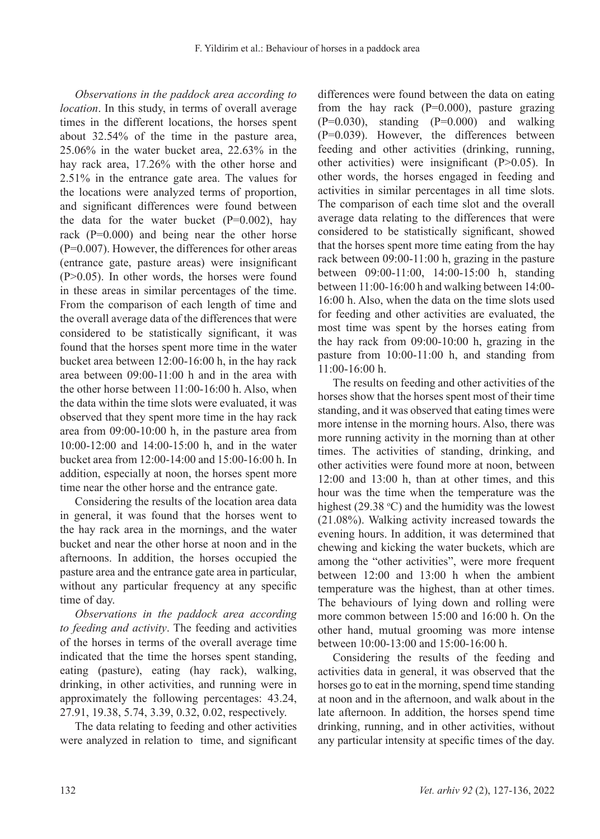*Observations in the paddock area according to location*. In this study, in terms of overall average times in the different locations, the horses spent about 32.54% of the time in the pasture area, 25.06% in the water bucket area, 22.63% in the hay rack area, 17.26% with the other horse and 2.51% in the entrance gate area. The values for the locations were analyzed terms of proportion, and significant differences were found between the data for the water bucket  $(P=0.002)$ , hay rack (P=0.000) and being near the other horse (P=0.007). However, the differences for other areas (entrance gate, pasture areas) were insignificant (P>0.05). In other words, the horses were found in these areas in similar percentages of the time. From the comparison of each length of time and the overall average data of the differences that were considered to be statistically significant, it was found that the horses spent more time in the water bucket area between 12:00-16:00 h, in the hay rack area between 09:00-11:00 h and in the area with the other horse between 11:00-16:00 h. Also, when the data within the time slots were evaluated, it was observed that they spent more time in the hay rack area from 09:00-10:00 h, in the pasture area from 10:00-12:00 and 14:00-15:00 h, and in the water bucket area from 12:00-14:00 and 15:00-16:00 h. In addition, especially at noon, the horses spent more time near the other horse and the entrance gate.

Considering the results of the location area data in general, it was found that the horses went to the hay rack area in the mornings, and the water bucket and near the other horse at noon and in the afternoons. In addition, the horses occupied the pasture area and the entrance gate area in particular, without any particular frequency at any specific time of day.

*Observations in the paddock area according to feeding and activity*. The feeding and activities of the horses in terms of the overall average time indicated that the time the horses spent standing, eating (pasture), eating (hay rack), walking, drinking, in other activities, and running were in approximately the following percentages: 43.24, 27.91, 19.38, 5.74, 3.39, 0.32, 0.02, respectively.

The data relating to feeding and other activities were analyzed in relation to time, and significant differences were found between the data on eating from the hay rack  $(P=0.000)$ , pasture grazing  $(P=0.030)$ , standing  $(P=0.000)$  and walking (P=0.039). However, the differences between feeding and other activities (drinking, running, other activities) were insignificant (P>0.05). In other words, the horses engaged in feeding and activities in similar percentages in all time slots. The comparison of each time slot and the overall average data relating to the differences that were considered to be statistically significant, showed that the horses spent more time eating from the hay rack between 09:00-11:00 h, grazing in the pasture between 09:00-11:00, 14:00-15:00 h, standing between 11:00-16:00 h and walking between 14:00- 16:00 h. Also, when the data on the time slots used for feeding and other activities are evaluated, the most time was spent by the horses eating from the hay rack from 09:00-10:00 h, grazing in the pasture from 10:00-11:00 h, and standing from 11:00-16:00 h.

The results on feeding and other activities of the horses show that the horses spent most of their time standing, and it was observed that eating times were more intense in the morning hours. Also, there was more running activity in the morning than at other times. The activities of standing, drinking, and other activities were found more at noon, between 12:00 and 13:00 h, than at other times, and this hour was the time when the temperature was the highest (29.38  $\degree$ C) and the humidity was the lowest (21.08%). Walking activity increased towards the evening hours. In addition, it was determined that chewing and kicking the water buckets, which are among the "other activities", were more frequent between 12:00 and 13:00 h when the ambient temperature was the highest, than at other times. The behaviours of lying down and rolling were more common between 15:00 and 16:00 h. On the other hand, mutual grooming was more intense between 10:00-13:00 and 15:00-16:00 h.

Considering the results of the feeding and activities data in general, it was observed that the horses go to eat in the morning, spend time standing at noon and in the afternoon, and walk about in the late afternoon. In addition, the horses spend time drinking, running, and in other activities, without any particular intensity at specific times of the day.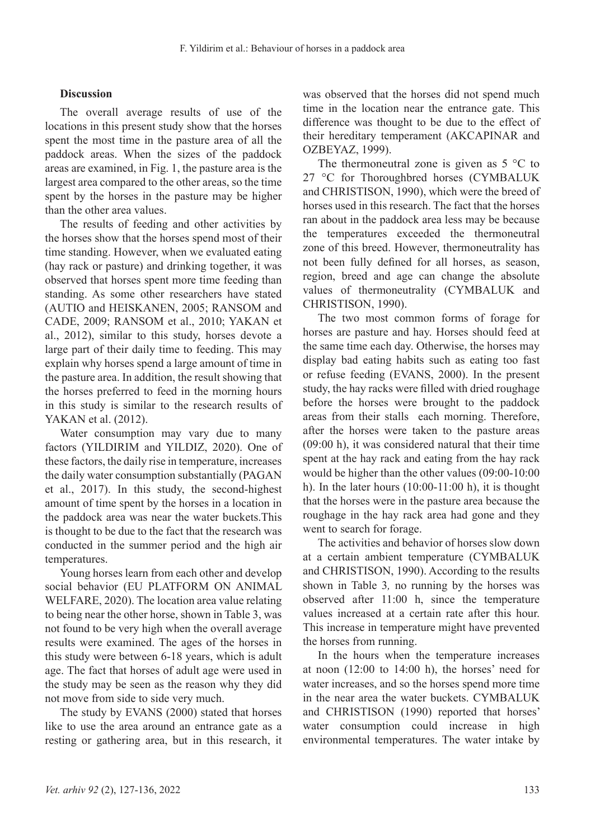#### **Discussion**

The overall average results of use of the locations in this present study show that the horses spent the most time in the pasture area of all the paddock areas. When the sizes of the paddock areas are examined, in Fig. 1, the pasture area is the largest area compared to the other areas, so the time spent by the horses in the pasture may be higher than the other area values.

The results of feeding and other activities by the horses show that the horses spend most of their time standing. However, when we evaluated eating (hay rack or pasture) and drinking together, it was observed that horses spent more time feeding than standing. As some other researchers have stated (AUTIO and HEISKANEN, 2005; RANSOM and CADE, 2009; RANSOM et al., 2010; YAKAN et al., 2012), similar to this study, horses devote a large part of their daily time to feeding. This may explain why horses spend a large amount of time in the pasture area. In addition, the result showing that the horses preferred to feed in the morning hours in this study is similar to the research results of YAKAN et al. (2012).

Water consumption may vary due to many factors (YILDIRIM and YILDIZ, 2020). One of these factors, the daily rise in temperature, increases the daily water consumption substantially (PAGAN et al., 2017). In this study, the second-highest amount of time spent by the horses in a location in the paddock area was near the water buckets.This is thought to be due to the fact that the research was conducted in the summer period and the high air temperatures.

Young horses learn from each other and develop social behavior (EU PLATFORM ON ANIMAL WELFARE, 2020). The location area value relating to being near the other horse, shown in Table 3, was not found to be very high when the overall average results were examined. The ages of the horses in this study were between 6-18 years, which is adult age. The fact that horses of adult age were used in the study may be seen as the reason why they did not move from side to side very much.

The study by EVANS (2000) stated that horses like to use the area around an entrance gate as a resting or gathering area, but in this research, it was observed that the horses did not spend much time in the location near the entrance gate. This difference was thought to be due to the effect of their hereditary temperament (AKCAPINAR and OZBEYAZ, 1999).

The thermoneutral zone is given as  $5^{\circ}$ C to 27 °C for Thoroughbred horses (CYMBALUK and CHRISTISON, 1990), which were the breed of horses used in this research. The fact that the horses ran about in the paddock area less may be because the temperatures exceeded the thermoneutral zone of this breed. However, thermoneutrality has not been fully defined for all horses, as season, region, breed and age can change the absolute values of thermoneutrality (CYMBALUK and CHRISTISON, 1990).

The two most common forms of forage for horses are pasture and hay. Horses should feed at the same time each day. Otherwise, the horses may display bad eating habits such as eating too fast or refuse feeding (EVANS, 2000). In the present study, the hay racks were filled with dried roughage before the horses were brought to the paddock areas from their stalls each morning. Therefore, after the horses were taken to the pasture areas (09:00 h), it was considered natural that their time spent at the hay rack and eating from the hay rack would be higher than the other values (09:00-10:00 h). In the later hours  $(10:00-11:00)$  h), it is thought that the horses were in the pasture area because the roughage in the hay rack area had gone and they went to search for forage.

The activities and behavior of horses slow down at a certain ambient temperature (CYMBALUK and CHRISTISON, 1990). According to the results shown in Table 3*,* no running by the horses was observed after 11:00 h, since the temperature values increased at a certain rate after this hour. This increase in temperature might have prevented the horses from running.

In the hours when the temperature increases at noon (12:00 to 14:00 h), the horses' need for water increases, and so the horses spend more time in the near area the water buckets. CYMBALUK and CHRISTISON (1990) reported that horses' water consumption could increase in high environmental temperatures. The water intake by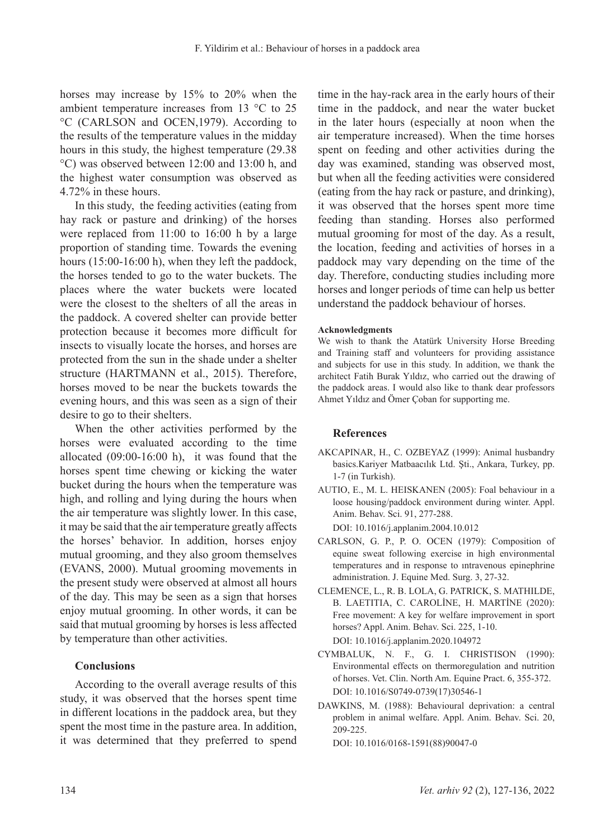horses may increase by 15% to 20% when the ambient temperature increases from 13 °C to 25 °C (CARLSON and OCEN,1979). According to the results of the temperature values in the midday hours in this study, the highest temperature (29.38 °C) was observed between 12:00 and 13:00 h, and the highest water consumption was observed as 4.72% in these hours.

In this study, the feeding activities (eating from hay rack or pasture and drinking) of the horses were replaced from 11:00 to 16:00 h by a large proportion of standing time. Towards the evening hours (15:00-16:00 h), when they left the paddock, the horses tended to go to the water buckets. The places where the water buckets were located were the closest to the shelters of all the areas in the paddock. A covered shelter can provide better protection because it becomes more difficult for insects to visually locate the horses, and horses are protected from the sun in the shade under a shelter structure (HARTMANN et al., 2015). Therefore, horses moved to be near the buckets towards the evening hours, and this was seen as a sign of their desire to go to their shelters.

When the other activities performed by the horses were evaluated according to the time allocated (09:00-16:00 h), it was found that the horses spent time chewing or kicking the water bucket during the hours when the temperature was high, and rolling and lying during the hours when the air temperature was slightly lower. In this case, it may be said that the air temperature greatly affects the horses' behavior. In addition, horses enjoy mutual grooming, and they also groom themselves (EVANS, 2000). Mutual grooming movements in the present study were observed at almost all hours of the day. This may be seen as a sign that horses enjoy mutual grooming. In other words, it can be said that mutual grooming by horses is less affected by temperature than other activities.

## **Conclusions**

According to the overall average results of this study, it was observed that the horses spent time in different locations in the paddock area, but they spent the most time in the pasture area. In addition, it was determined that they preferred to spend time in the hay-rack area in the early hours of their time in the paddock, and near the water bucket in the later hours (especially at noon when the air temperature increased). When the time horses spent on feeding and other activities during the day was examined, standing was observed most, but when all the feeding activities were considered (eating from the hay rack or pasture, and drinking), it was observed that the horses spent more time feeding than standing. Horses also performed mutual grooming for most of the day. As a result, the location, feeding and activities of horses in a paddock may vary depending on the time of the day. Therefore, conducting studies including more horses and longer periods of time can help us better understand the paddock behaviour of horses.

#### **Acknowledgments**

We wish to thank the Atatürk University Horse Breeding and Training staff and volunteers for providing assistance and subjects for use in this study. In addition, we thank the architect Fatih Burak Yıldız, who carried out the drawing of the paddock areas. I would also like to thank dear professors Ahmet Yıldız and Ömer Çoban for supporting me.

#### **References**

- AKCAPINAR, H., C. OZBEYAZ (1999): Animal husbandry basics.Kariyer Matbaacılık Ltd. Şti., Ankara, Turkey, pp. 1-7 (in Turkish).
- AUTIO, E., M. L. HEISKANEN (2005): Foal behaviour in a loose housing/paddock environment during winter. Appl. Anim. Behav. Sci. 91, 277-288. DOI: 10.1016/j.applanim.2004.10.012
- CARLSON, G. P., P. O. OCEN (1979): Composition of equine sweat following exercise in high environmental temperatures and in response to ıntravenous epinephrine administration. J. Equine Med. Surg. 3, 27-32.
- CLEMENCE, L., R. B. LOLA, G. PATRICK, S. MATHILDE, B. LAETITIA, C. CAROLİNE, H. MARTİNE (2020): Free movement: A key for welfare improvement in sport horses? Appl. Anim. Behav. Sci. 225, 1-10. DOI: 10.1016/j.applanim.2020.104972
- CYMBALUK, N. F., G. I. CHRISTISON (1990): Environmental effects on thermoregulation and nutrition of horses. Vet. Clin. North Am. Equine Pract. 6, 355-372. DOI: 10.1016/S0749-0739(17)30546-1
- DAWKINS, M. (1988): Behavioural deprivation: a central problem in animal welfare. Appl. Anim. Behav. Sci. 20, 209-225.

DOI: 10.1016/0168-1591(88)90047-0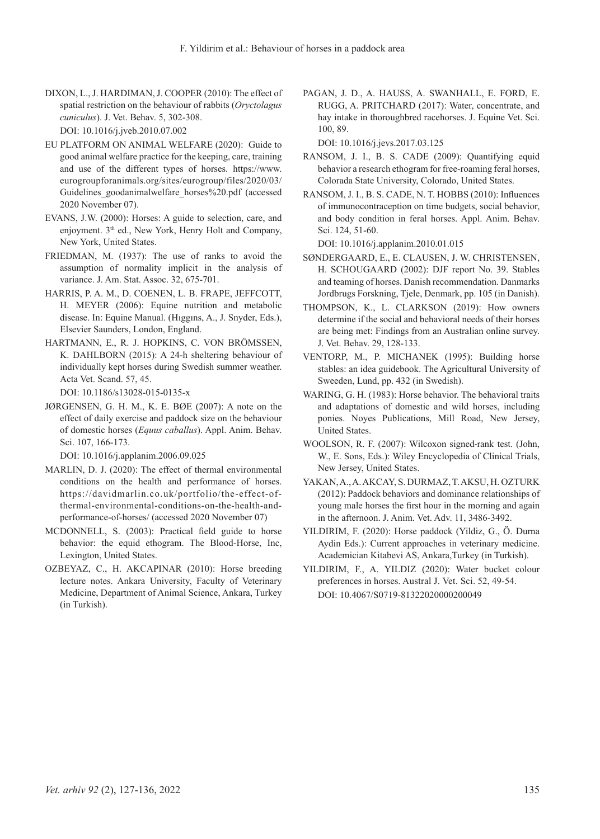- DIXON, L., J. HARDIMAN, J. COOPER (2010): The effect of spatial restriction on the behaviour of rabbits (*Oryctolagus cuniculus*). J. Vet. Behav. 5, 302-308. DOI: 10.1016/j.jveb.2010.07.002
- EU PLATFORM ON ANIMAL WELFARE (2020): Guide to good animal welfare practice for the keeping, care, training and use of the different types of horses. https://www. eurogroupforanimals.org/sites/eurogroup/files/2020/03/ Guidelines\_goodanimalwelfare\_horses%20.pdf (accessed 2020 November 07).
- EVANS, J.W. (2000): Horses: A guide to selection, care, and enjoyment. 3<sup>th</sup> ed., New York, Henry Holt and Company, New York, United States.
- FRIEDMAN, M. (1937): The use of ranks to avoid the assumption of normality implicit in the analysis of variance. J. Am. Stat. Assoc. 32, 675-701.
- HARRIS, P. A. M., D. COENEN, L. B. FRAPE, JEFFCOTT, H. MEYER (2006): Equine nutrition and metabolic disease. In: Equine Manual. (Hıggıns, A., J. Snyder, Eds.), Elsevier Saunders, London, England.
- HARTMANN, E., R. J. HOPKINS, C. VON BRÖMSSEN, K. DAHLBORN (2015): A 24-h sheltering behaviour of individually kept horses during Swedish summer weather. Acta Vet. Scand. 57, 45.

DOI: 10.1186/s13028-015-0135-x

JØRGENSEN, G. H. M., K. E. BØE (2007): A note on the effect of daily exercise and paddock size on the behaviour of domestic horses (*Equus caballus*). Appl. Anim. Behav. Sci. 107, 166-173.

DOI: 10.1016/j.applanim.2006.09.025

- MARLIN, D. J. (2020): The effect of thermal environmental conditions on the health and performance of horses. https://davidmarlin.co.uk/portfolio/the-effect-ofthermal-environmental-conditions-on-the-health-andperformance-of-horses/ (accessed 2020 November 07)
- MCDONNELL, S. (2003): Practical field guide to horse behavior: the equid ethogram. The Blood-Horse, Inc, Lexington, United States.
- OZBEYAZ, C., H. AKCAPINAR (2010): Horse breeding lecture notes. Ankara University, Faculty of Veterinary Medicine, Department of Animal Science, Ankara, Turkey (in Turkish).

PAGAN, J. D., A. HAUSS, A. SWANHALL, E. FORD, E. RUGG, A. PRITCHARD (2017): Water, concentrate, and hay intake in thoroughbred racehorses. J. Equine Vet. Sci. 100, 89.

DOI: 10.1016/j.jevs.2017.03.125

- RANSOM, J. I., B. S. CADE (2009): Quantifying equid behavior a research ethogram for free-roaming feral horses, Colorada State University, Colorado, United States.
- RANSOM, J. I., B. S. CADE, N. T. HOBBS (2010): Influences of immunocontraception on time budgets, social behavior, and body condition in feral horses. Appl. Anim. Behav. Sci. 124, 51-60.

DOI: 10.1016/j.applanim.2010.01.015

- SØNDERGAARD, E., E. CLAUSEN, J. W. CHRISTENSEN, H. SCHOUGAARD (2002): DJF report No. 39. Stables and teaming of horses. Danish recommendation. Danmarks Jordbrugs Forskning, Tjele, Denmark, pp. 105 (in Danish).
- THOMPSON, K., L. CLARKSON (2019): How owners determine if the social and behavioral needs of their horses are being met: Findings from an Australian online survey. J. Vet. Behav. 29, 128-133.
- VENTORP, M., P. MICHANEK (1995): Building horse stables: an idea guidebook. The Agricultural University of Sweeden, Lund, pp. 432 (in Swedish).
- WARING, G. H. (1983): Horse behavior. The behavioral traits and adaptations of domestic and wild horses, including ponies. Noyes Publications, Mill Road, New Jersey, United States.
- WOOLSON, R. F. (2007): Wilcoxon signed‐rank test. (John, W., E. Sons, Eds.): Wiley Encyclopedia of Clinical Trials, New Jersey, United States.
- YAKAN, A., A. AKCAY, S. DURMAZ, T. AKSU, H. OZTURK (2012): Paddock behaviors and dominance relationships of young male horses the first hour in the morning and again in the afternoon. J. Anim. Vet. Adv. 11, 3486-3492.
- YILDIRIM, F. (2020): Horse paddock (Yildiz, G., Ö. Durna Aydin Eds.): Current approaches in veterinary medicine. Academician Kitabevi AS, Ankara,Turkey (in Turkish).
- YILDIRIM, F., A. YILDIZ (2020): Water bucket colour preferences in horses. Austral J. Vet. Sci. 52, 49-54. DOI: 10.4067/S0719-81322020000200049